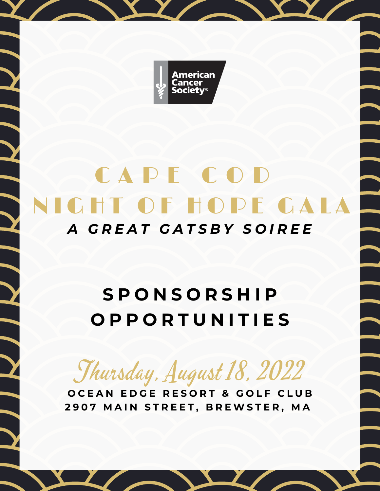

## **CHT OF HOPE GALA** CAPE COD *A G R E A T G A T S B Y S O I R E E*

### **S P O N S O R S H I P O P P O R T U N I T I E S**

Thursday, August 18, 2022

**O C E A N E D G E R E S O R T & G O L F C L U B** 2907 MAIN STREET, BREWSTER, MA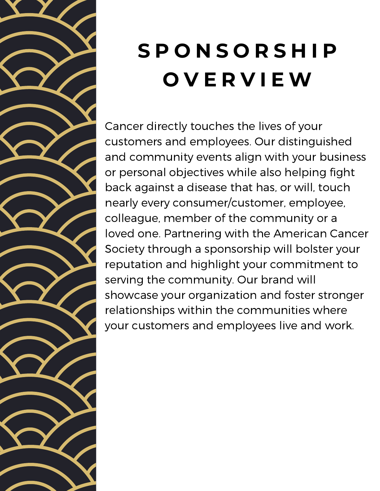

# **S P O N S O R S H I P O V E R V I E W**

Cancer directly touches the lives of your customers and employees. Our distinguished and community events align with your business or personal objectives while also helping fight back against a disease that has, or will, touch nearly every consumer/customer, employee, colleague, member of the community or a loved one. Partnering with the American Cancer Society through a sponsorship will bolster your reputation and highlight your commitment to serving the community. Our brand will showcase your organization and foster stronger relationships within the communities where your customers and employees live and work.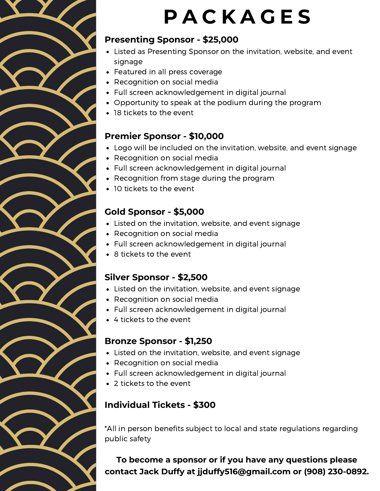## **P A C K A G E S**

#### **Presenting Sponsor - \$25,000**

- Listed as Presenting Sponsor on the invitation, website, and event signage
- Featured in all press coverage
- Recognition on social media
- Full screen acknowledgement in digital journal
- Opportunity to speak at the podium during the program
- 18 tickets to the event

#### **Premier Sponsor - \$10,000**

- Logo will be included on the invitation, website, and event signage
- Recognition on social media
- Full screen acknowledgement in digital journal
- Recognition from stage during the program
- 10 tickets to the event

#### **Gold Sponsor - \$5,000**

- Listed on the invitation, website, and event signage
- Recognition on social media
- Full screen acknowledgement in digital journal
- 8 tickets to the event

#### **Silver Sponsor - \$2,500**

- Listed on the invitation, website, and event signage
- Recognition on social media
- Full screen acknowledgement in digital journal
- 4 tickets to the event

#### **Bronze Sponsor - \$1,250**

- Listed on the invitation, website, and event signage
- Recognition on social media
- Full screen acknowledgement in digital journal
- 2 tickets to the event

#### **Individual Tickets - \$300**

\*All in person benefits subject to local and state regulations regarding public safety

**To become a sponsor or if you have any questions please contact Jack Duffy at jjduffy516@gmail.com or (908) 230-0892.**